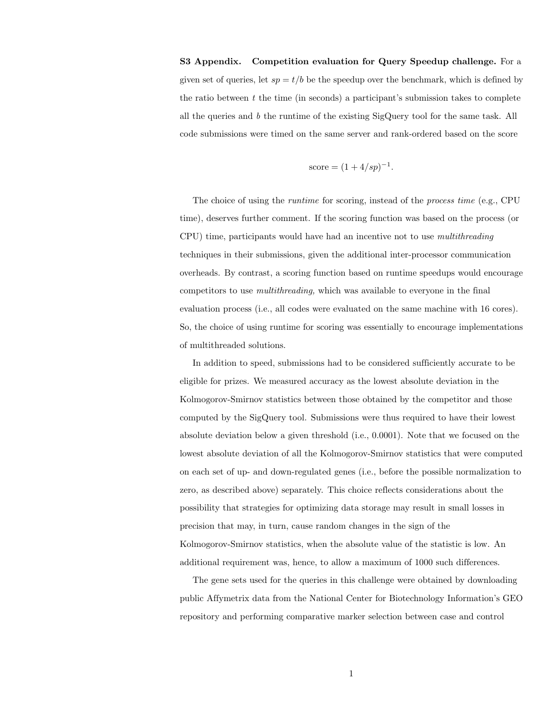S3 Appendix. Competition evaluation for Query Speedup challenge. For a given set of queries, let  $sp = t/b$  be the speedup over the benchmark, which is defined by the ratio between  $t$  the time (in seconds) a participant's submission takes to complete all the queries and b the runtime of the existing  $SigQuery$  tool for the same task. All code submissions were timed on the same server and rank-ordered based on the score

$$
score = (1 + 4/sp)^{-1}.
$$

The choice of using the runtime for scoring, instead of the process time (e.g., CPU time), deserves further comment. If the scoring function was based on the process (or CPU) time, participants would have had an incentive not to use multithreading techniques in their submissions, given the additional inter-processor communication overheads. By contrast, a scoring function based on runtime speedups would encourage competitors to use multithreading, which was available to everyone in the final evaluation process (i.e., all codes were evaluated on the same machine with 16 cores). So, the choice of using runtime for scoring was essentially to encourage implementations of multithreaded solutions.

In addition to speed, submissions had to be considered sufficiently accurate to be eligible for prizes. We measured accuracy as the lowest absolute deviation in the Kolmogorov-Smirnov statistics between those obtained by the competitor and those computed by the SigQuery tool. Submissions were thus required to have their lowest absolute deviation below a given threshold (i.e., 0.0001). Note that we focused on the lowest absolute deviation of all the Kolmogorov-Smirnov statistics that were computed on each set of up- and down-regulated genes (i.e., before the possible normalization to zero, as described above) separately. This choice reflects considerations about the possibility that strategies for optimizing data storage may result in small losses in precision that may, in turn, cause random changes in the sign of the Kolmogorov-Smirnov statistics, when the absolute value of the statistic is low. An additional requirement was, hence, to allow a maximum of 1000 such differences.

The gene sets used for the queries in this challenge were obtained by downloading public Affymetrix data from the National Center for Biotechnology Information's GEO repository and performing comparative marker selection between case and control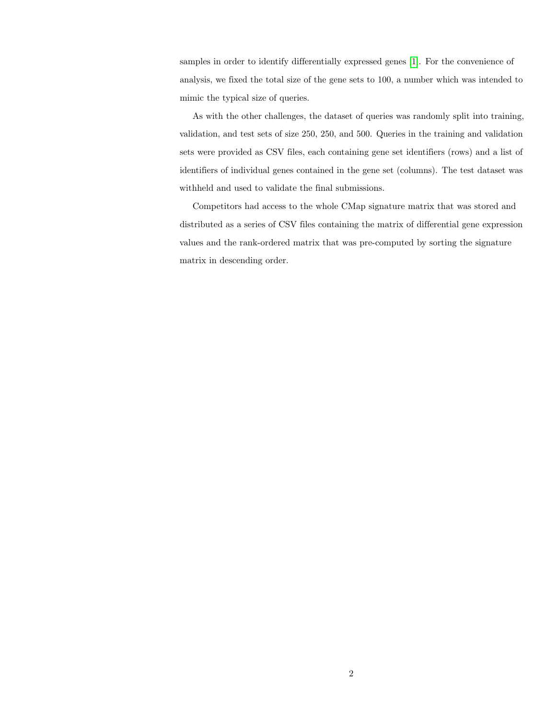samples in order to identify differentially expressed genes [\[1\]](#page-2-0). For the convenience of analysis, we fixed the total size of the gene sets to 100, a number which was intended to mimic the typical size of queries.

As with the other challenges, the dataset of queries was randomly split into training, validation, and test sets of size 250, 250, and 500. Queries in the training and validation sets were provided as CSV files, each containing gene set identifiers (rows) and a list of identifiers of individual genes contained in the gene set (columns). The test dataset was withheld and used to validate the final submissions.

Competitors had access to the whole CMap signature matrix that was stored and distributed as a series of CSV files containing the matrix of differential gene expression values and the rank-ordered matrix that was pre-computed by sorting the signature matrix in descending order.